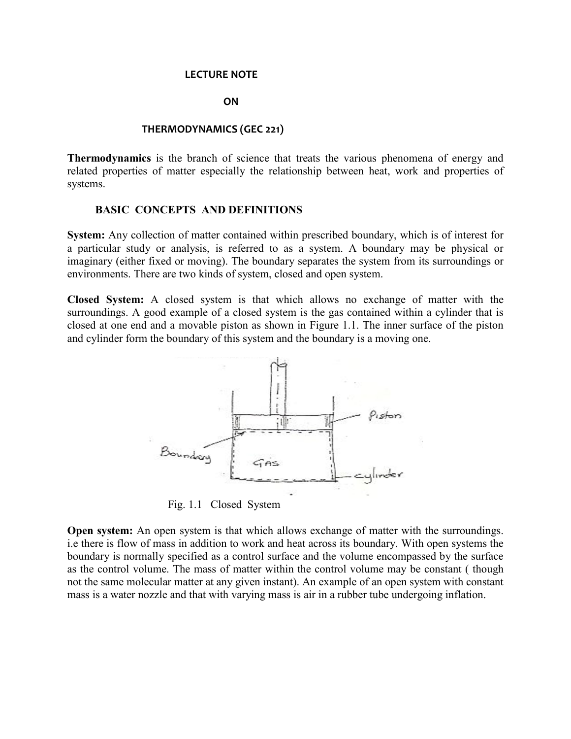#### **LECTURE NOTE**

#### **ON**

### **THERMODYNAMICS (GEC 221)**

**Thermodynamics** is the branch of science that treats the various phenomena of energy and related properties of matter especially the relationship between heat, work and properties of systems.

#### **BASIC CONCEPTS AND DEFINITIONS**

**System:** Any collection of matter contained within prescribed boundary, which is of interest for a particular study or analysis, is referred to as a system. A boundary may be physical or imaginary (either fixed or moving). The boundary separates the system from its surroundings or environments. There are two kinds of system, closed and open system.

**Closed System:** A closed system is that which allows no exchange of matter with the surroundings. A good example of a closed system is the gas contained within a cylinder that is closed at one end and a movable piston as shown in Figure 1.1. The inner surface of the piston and cylinder form the boundary of this system and the boundary is a moving one.



Fig. 1.1 Closed System

**Open system:** An open system is that which allows exchange of matter with the surroundings. i.e there is flow of mass in addition to work and heat across its boundary. With open systems the boundary is normally specified as a control surface and the volume encompassed by the surface as the control volume. The mass of matter within the control volume may be constant ( though not the same molecular matter at any given instant). An example of an open system with constant mass is a water nozzle and that with varying mass is air in a rubber tube undergoing inflation.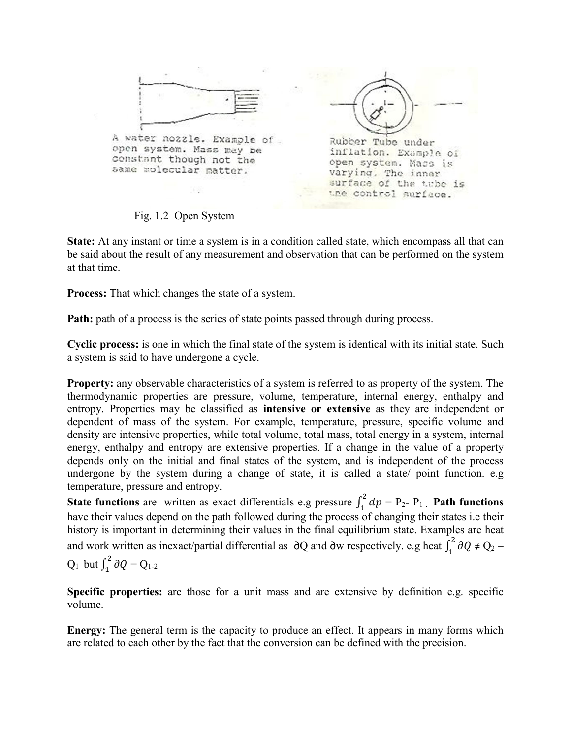

Fig. 1.2 Open System

**State:** At any instant or time a system is in a condition called state, which encompass all that can be said about the result of any measurement and observation that can be performed on the system at that time.

**Process:** That which changes the state of a system.

**Path:** path of a process is the series of state points passed through during process.

**Cyclic process:** is one in which the final state of the system is identical with its initial state. Such a system is said to have undergone a cycle.

**Property:** any observable characteristics of a system is referred to as property of the system. The thermodynamic properties are pressure, volume, temperature, internal energy, enthalpy and entropy. Properties may be classified as **intensive or extensive** as they are independent or dependent of mass of the system. For example, temperature, pressure, specific volume and density are intensive properties, while total volume, total mass, total energy in a system, internal energy, enthalpy and entropy are extensive properties. If a change in the value of a property depends only on the initial and final states of the system, and is independent of the process undergone by the system during a change of state, it is called a state/ point function. e.g temperature, pressure and entropy.

**State functions** are written as exact differentials e.g pressure  $\int_1^2 dp = P_2 - P_1$ . **Path functions** have their values depend on the path followed during the process of changing their states i.e their history is important in determining their values in the final equilibrium state. Examples are heat and work written as inexact/partial differential as  $\partial Q$  and ∂w respectively. e.g heat  $\int_1^2 \partial Q \neq Q_2$  – Q<sub>1</sub> but  $\int_{1}^{2} \partial Q = Q_{1-2}$ 

**Specific properties:** are those for a unit mass and are extensive by definition e.g. specific volume.

**Energy:** The general term is the capacity to produce an effect. It appears in many forms which are related to each other by the fact that the conversion can be defined with the precision.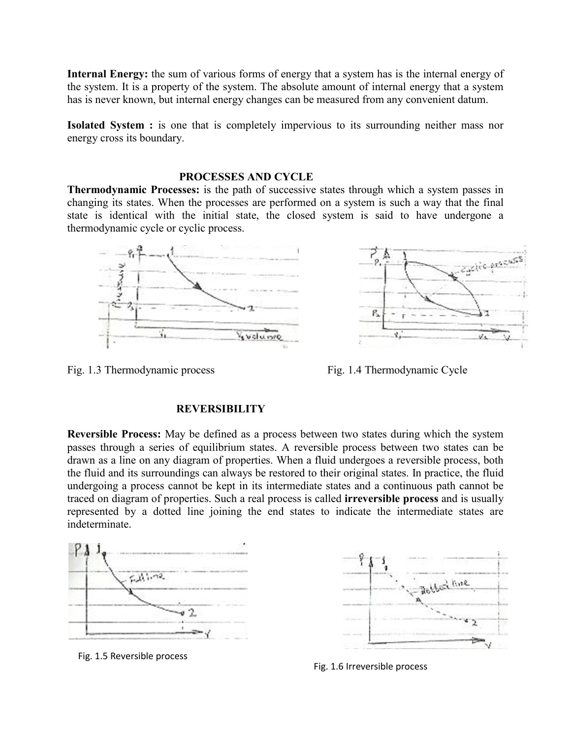**Internal Energy:** the sum of various forms of energy that a system has is the internal energy of the system. It is a property of the system. The absolute amount of internal energy that a system has is never known, but internal energy changes can be measured from any convenient datum.

**Isolated System :** is one that is completely impervious to its surrounding neither mass nor energy cross its boundary.

### **PROCESSES AND CYCLE**

**Thermodynamic Processes:** is the path of successive states through which a system passes in changing its states. When the processes are performed on a system is such a way that the final state is identical with the initial state, the closed system is said to have undergone a thermodynamic cycle or cyclic process.





Fig. 1.3 Thermodynamic process Fig. 1.4 Thermodynamic Cycle

### **REVERSIBILITY**

**Reversible Process:** May be defined as a process between two states during which the system passes through a series of equilibrium states. A reversible process between two states can be drawn as a line on any diagram of properties. When a fluid undergoes a reversible process, both the fluid and its surroundings can always be restored to their original states. In practice, the fluid undergoing a process cannot be kept in its intermediate states and a continuous path cannot be traced on diagram of properties. Such a real process is called **irreversible process** and is usually represented by a dotted line joining the end states to indicate the intermediate states are indeterminate.



Fig. 1.5 Reversible process



Fig. 1.6 Irreversible process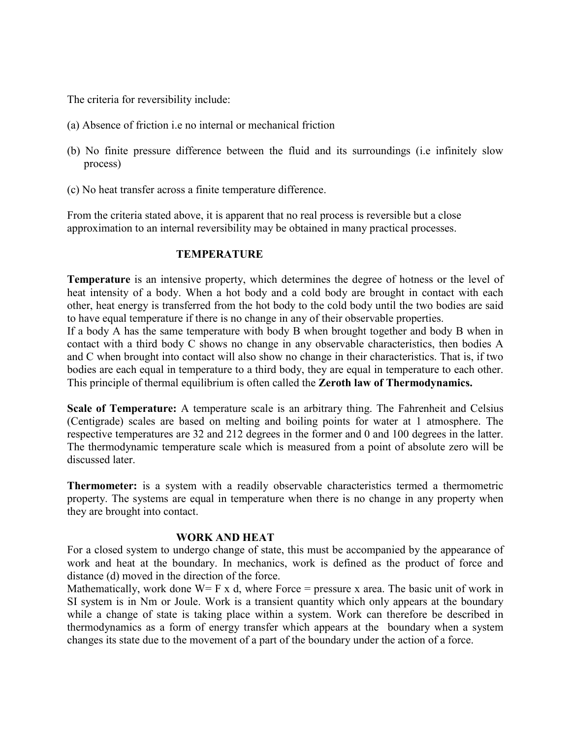The criteria for reversibility include:

- (a) Absence of friction i.e no internal or mechanical friction
- (b) No finite pressure difference between the fluid and its surroundings (i.e infinitely slow process)
- (c) No heat transfer across a finite temperature difference.

From the criteria stated above, it is apparent that no real process is reversible but a close approximation to an internal reversibility may be obtained in many practical processes.

## **TEMPERATURE**

**Temperature** is an intensive property, which determines the degree of hotness or the level of heat intensity of a body. When a hot body and a cold body are brought in contact with each other, heat energy is transferred from the hot body to the cold body until the two bodies are said to have equal temperature if there is no change in any of their observable properties.

If a body A has the same temperature with body B when brought together and body B when in contact with a third body C shows no change in any observable characteristics, then bodies A and C when brought into contact will also show no change in their characteristics. That is, if two bodies are each equal in temperature to a third body, they are equal in temperature to each other. This principle of thermal equilibrium is often called the **Zeroth law of Thermodynamics.**

**Scale of Temperature:** A temperature scale is an arbitrary thing. The Fahrenheit and Celsius (Centigrade) scales are based on melting and boiling points for water at 1 atmosphere. The respective temperatures are 32 and 212 degrees in the former and 0 and 100 degrees in the latter. The thermodynamic temperature scale which is measured from a point of absolute zero will be discussed later.

**Thermometer:** is a system with a readily observable characteristics termed a thermometric property. The systems are equal in temperature when there is no change in any property when they are brought into contact.

## **WORK AND HEAT**

For a closed system to undergo change of state, this must be accompanied by the appearance of work and heat at the boundary. In mechanics, work is defined as the product of force and distance (d) moved in the direction of the force.

Mathematically, work done  $W = F x d$ , where Force = pressure x area. The basic unit of work in SI system is in Nm or Joule. Work is a transient quantity which only appears at the boundary while a change of state is taking place within a system. Work can therefore be described in thermodynamics as a form of energy transfer which appears at the boundary when a system changes its state due to the movement of a part of the boundary under the action of a force.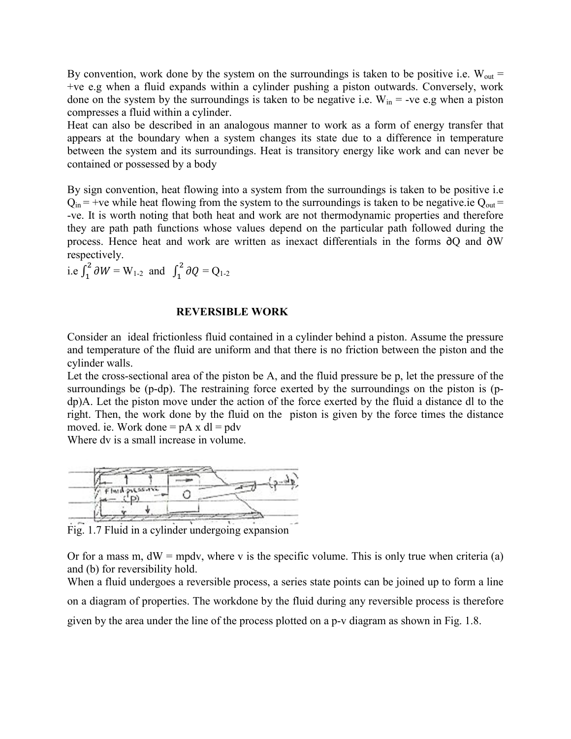By convention, work done by the system on the surroundings is taken to be positive i.e.  $W_{out}$  = +ve e.g when a fluid expands within a cylinder pushing a piston outwards. Conversely, work done on the system by the surroundings is taken to be negative i.e.  $W_{in}$  = -ve e.g when a piston compresses a fluid within a cylinder.

Heat can also be described in an analogous manner to work as a form of energy transfer that appears at the boundary when a system changes its state due to a difference in temperature between the system and its surroundings. Heat is transitory energy like work and can never be contained or possessed by a body

By sign convention, heat flowing into a system from the surroundings is taken to be positive i.e  $Q_{in}$  = +ve while heat flowing from the system to the surroundings is taken to be negative.ie  $Q_{out}$  = -ve. It is worth noting that both heat and work are not thermodynamic properties and therefore they are path path functions whose values depend on the particular path followed during the process. Hence heat and work are written as inexact differentials in the forms ∂Q and ∂W respectively.

i.e  $\int_1^2 \partial W = W_{1\cdot 2}$  and  $\int_1^2 \partial Q = Q_{1\cdot 2}$ 

#### **REVERSIBLE WORK**

Consider an ideal frictionless fluid contained in a cylinder behind a piston. Assume the pressure and temperature of the fluid are uniform and that there is no friction between the piston and the cylinder walls.

Let the cross-sectional area of the piston be A, and the fluid pressure be p, let the pressure of the surroundings be (p-dp). The restraining force exerted by the surroundings on the piston is (pdp)A. Let the piston move under the action of the force exerted by the fluid a distance dl to the right. Then, the work done by the fluid on the piston is given by the force times the distance moved. ie. Work done  $= pA x dl = pdv$ 

Where dv is a small increase in volume.



Fig. 1.7 Fluid in a cylinder undergoing expansion

Or for a mass m,  $dW = m\rho dv$ , where v is the specific volume. This is only true when criteria (a) and (b) for reversibility hold.

When a fluid undergoes a reversible process, a series state points can be joined up to form a line on a diagram of properties. The workdone by the fluid during any reversible process is therefore given by the area under the line of the process plotted on a p-v diagram as shown in Fig. 1.8.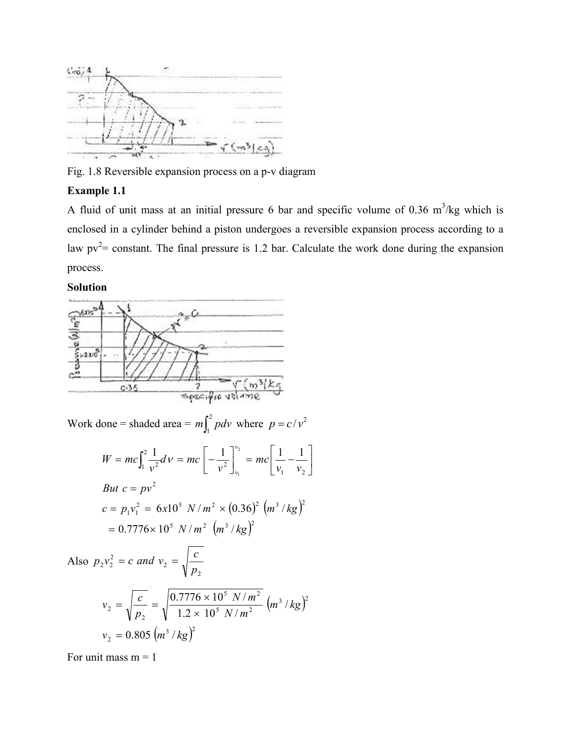

Fig. 1.8 Reversible expansion process on a p-v diagram

### **Example 1.1**

A fluid of unit mass at an initial pressure 6 bar and specific volume of 0.36  $m^3/kg$  which is enclosed in a cylinder behind a piston undergoes a reversible expansion process according to a law  $pv^2$  constant. The final pressure is 1.2 bar. Calculate the work done during the expansion process.

 $\overline{\phantom{a}}$ 

**Solution** 



For unit mass  $m = 1$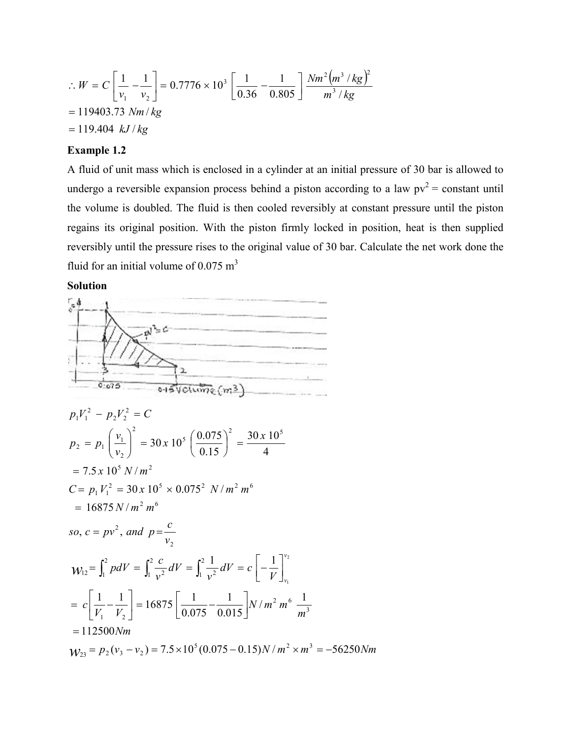$$
\therefore W = C \left[ \frac{1}{v_1} - \frac{1}{v_2} \right] = 0.7776 \times 10^3 \left[ \frac{1}{0.36} - \frac{1}{0.805} \right] \frac{N m^2 (m^3 / kg)^2}{m^3 / kg}
$$
  
= 119403.73 Nm/kg  
= 119.404 kJ/kg

### **Example 1.2**

A fluid of unit mass which is enclosed in a cylinder at an initial pressure of 30 bar is allowed to undergo a reversible expansion process behind a piston according to a law  $pv^2$  = constant until the volume is doubled. The fluid is then cooled reversibly at constant pressure until the piston regains its original position. With the piston firmly locked in position, heat is then supplied reversibly until the pressure rises to the original value of 30 bar. Calculate the net work done the fluid for an initial volume of  $0.075 \text{ m}^3$ 

### **Solution**

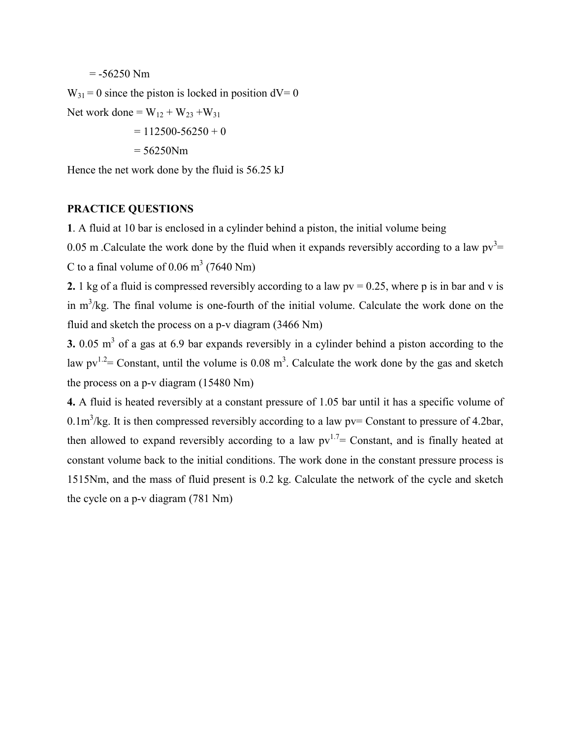$= -56250$  Nm

 $W_{31} = 0$  since the piston is locked in position  $dV = 0$ 

Net work done =  $W_{12} + W_{23} + W_{31}$ 

 $= 112500 - 56250 + 0$ 

 $= 56250$ Nm

Hence the net work done by the fluid is 56.25 kJ

## **PRACTICE QUESTIONS**

**1**. A fluid at 10 bar is enclosed in a cylinder behind a piston, the initial volume being

0.05 m . Calculate the work done by the fluid when it expands reversibly according to a law  $pv^3$  = C to a final volume of  $0.06 \text{ m}^3$  (7640 Nm)

**2.** 1 kg of a fluid is compressed reversibly according to a law  $pv = 0.25$ , where p is in bar and v is in  $m<sup>3</sup>/kg$ . The final volume is one-fourth of the initial volume. Calculate the work done on the fluid and sketch the process on a p-v diagram (3466 Nm)

**3.** 0.05 m<sup>3</sup> of a gas at 6.9 bar expands reversibly in a cylinder behind a piston according to the law  $pv^{1.2}$  = Constant, until the volume is 0.08 m<sup>3</sup>. Calculate the work done by the gas and sketch the process on a p-v diagram (15480 Nm)

**4.** A fluid is heated reversibly at a constant pressure of 1.05 bar until it has a specific volume of 0.1m<sup>3</sup>/kg. It is then compressed reversibly according to a law  $pv =$  Constant to pressure of 4.2bar, then allowed to expand reversibly according to a law  $pv^{1.7}$  Constant, and is finally heated at constant volume back to the initial conditions. The work done in the constant pressure process is 1515Nm, and the mass of fluid present is 0.2 kg. Calculate the network of the cycle and sketch the cycle on a p-v diagram (781 Nm)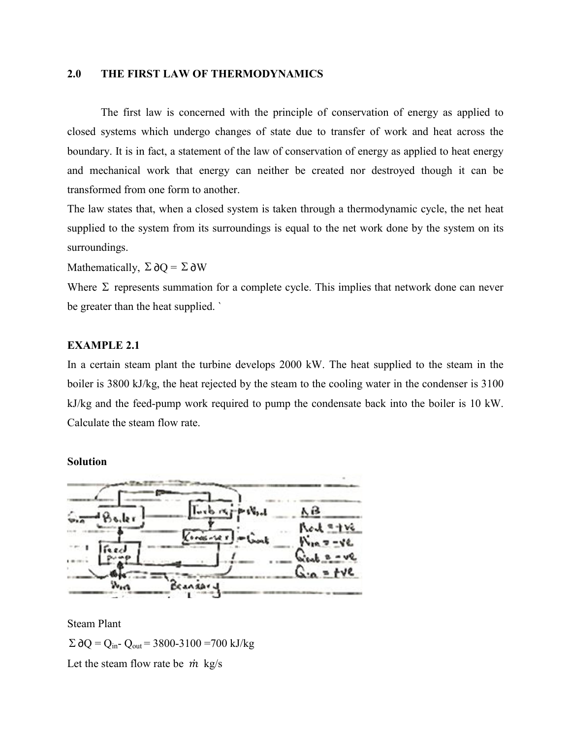### **2.0 THE FIRST LAW OF THERMODYNAMICS**

The first law is concerned with the principle of conservation of energy as applied to closed systems which undergo changes of state due to transfer of work and heat across the boundary. It is in fact, a statement of the law of conservation of energy as applied to heat energy and mechanical work that energy can neither be created nor destroyed though it can be transformed from one form to another.

The law states that, when a closed system is taken through a thermodynamic cycle, the net heat supplied to the system from its surroundings is equal to the net work done by the system on its surroundings.

Mathematically,  $\Sigma \partial O = \Sigma \partial W$ 

Where  $\Sigma$  represents summation for a complete cycle. This implies that network done can never be greater than the heat supplied. `

### **EXAMPLE 2.1**

In a certain steam plant the turbine develops 2000 kW. The heat supplied to the steam in the boiler is 3800 kJ/kg, the heat rejected by the steam to the cooling water in the condenser is 3100 kJ/kg and the feed-pump work required to pump the condensate back into the boiler is 10 kW. Calculate the steam flow rate.

#### **Solution**



Steam Plant

 $\Sigma$  ∂Q = Q<sub>in</sub>- Q<sub>out</sub> = 3800-3100 =700 kJ/kg

Let the steam flow rate be  $\dot{m}$  kg/s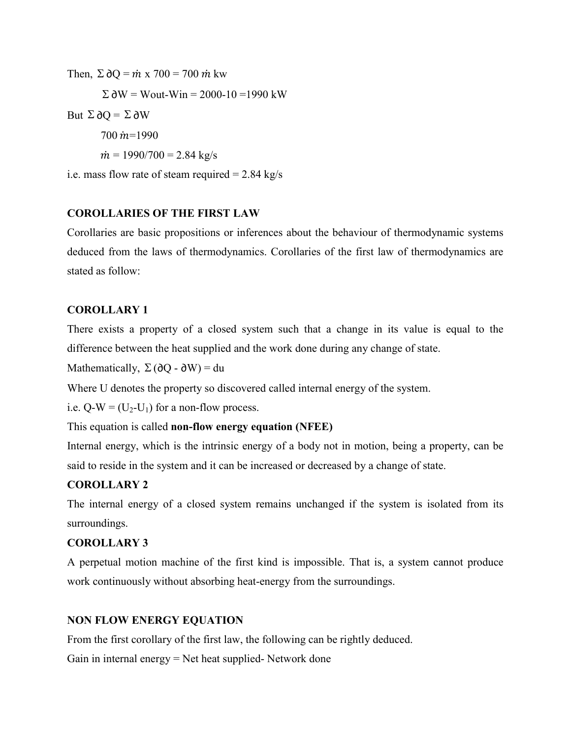Then,  $\Sigma \partial Q = \dot{m} \times 700 = 700 \dot{m} \text{kw}$  $\Sigma \, \partial W = W_{\text{out}} - W_{\text{in}} = 2000 - 10 = 1990 \, \text{kW}$ But  $\Sigma \partial Q = \Sigma \partial W$  $700 \text{ m} = 1990$  $\dot{m} = 1990/700 = 2.84 \text{ kg/s}$ i.e. mass flow rate of steam required  $= 2.84 \text{ kg/s}$ 

# **COROLLARIES OF THE FIRST LAW**

Corollaries are basic propositions or inferences about the behaviour of thermodynamic systems deduced from the laws of thermodynamics. Corollaries of the first law of thermodynamics are stated as follow:

# **COROLLARY 1**

There exists a property of a closed system such that a change in its value is equal to the difference between the heat supplied and the work done during any change of state.

Mathematically,  $\Sigma(\partial Q - \partial W) = du$ 

Where U denotes the property so discovered called internal energy of the system.

i.e.  $Q-W = (U_2-U_1)$  for a non-flow process.

# This equation is called **non-flow energy equation (NFEE)**

Internal energy, which is the intrinsic energy of a body not in motion, being a property, can be said to reside in the system and it can be increased or decreased by a change of state.

# **COROLLARY 2**

The internal energy of a closed system remains unchanged if the system is isolated from its surroundings.

# **COROLLARY 3**

A perpetual motion machine of the first kind is impossible. That is, a system cannot produce work continuously without absorbing heat-energy from the surroundings.

# **NON FLOW ENERGY EQUATION**

From the first corollary of the first law, the following can be rightly deduced.

Gain in internal energy = Net heat supplied- Network done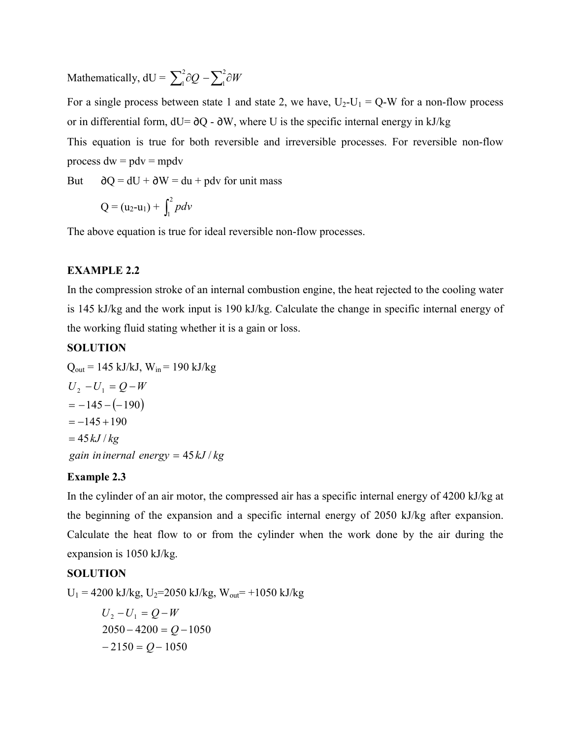Mathematically,  $dU = \sum_{i=1}^{n} \partial Q - \sum_{i=1}^{n} \partial Q$ 1  $\int_{1}^{2}$ ∂Q  $-\sum_{1}^{2}$ ∂W

For a single process between state 1 and state 2, we have,  $U_2-U_1 = Q-W$  for a non-flow process or in differential form,  $dU = \partial Q - \partial W$ , where U is the specific internal energy in kJ/kg This equation is true for both reversible and irreversible processes. For reversible non-flow process  $dw = pdv = mpdv$ 

But  $\partial Q = dU + \partial W = du + p dv$  for unit mass

$$
Q = (u_2 - u_1) + \int_1^2 pdv
$$

The above equation is true for ideal reversible non-flow processes.

## **EXAMPLE 2.2**

In the compression stroke of an internal combustion engine, the heat rejected to the cooling water is 145 kJ/kg and the work input is 190 kJ/kg. Calculate the change in specific internal energy of the working fluid stating whether it is a gain or loss.

## **SOLUTION**

 $Q_{\text{out}} = 145 \text{ kJ/kJ}, W_{\text{in}} = 190 \text{ kJ/kg}$  $=-145 - (-190)$ *gain ininernal energy* = 45 kJ / kg  $=45$   $kJ$  /  $kg$  $U_2 - U_1 = Q - W$  $=-145 + 190$ 

## **Example 2.3**

In the cylinder of an air motor, the compressed air has a specific internal energy of 4200 kJ/kg at the beginning of the expansion and a specific internal energy of 2050 kJ/kg after expansion. Calculate the heat flow to or from the cylinder when the work done by the air during the expansion is 1050 kJ/kg.

## **SOLUTION**

 $U_1 = 4200$  kJ/kg,  $U_2 = 2050$  kJ/kg,  $W_{out} = +1050$  kJ/kg  $2050 - 4200 = Q - 1050$  $U_2 - U_1 = Q - W$ 

$$
-2150 = Q - 1050
$$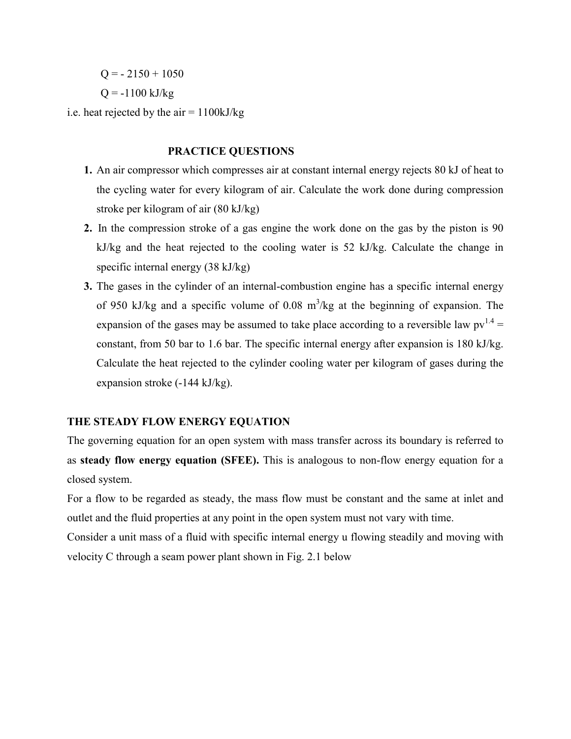$Q = -2150 + 1050$ 

 $Q = -1100$  kJ/kg

i.e. heat rejected by the air  $= 1100 \text{kJ/kg}$ 

### **PRACTICE QUESTIONS**

- **1.** An air compressor which compresses air at constant internal energy rejects 80 kJ of heat to the cycling water for every kilogram of air. Calculate the work done during compression stroke per kilogram of air (80 kJ/kg)
- **2.** In the compression stroke of a gas engine the work done on the gas by the piston is 90 kJ/kg and the heat rejected to the cooling water is 52 kJ/kg. Calculate the change in specific internal energy (38 kJ/kg)
- **3.** The gases in the cylinder of an internal-combustion engine has a specific internal energy of 950 kJ/kg and a specific volume of 0.08  $m^3$ /kg at the beginning of expansion. The expansion of the gases may be assumed to take place according to a reversible law  $pv^{1.4} =$ constant, from 50 bar to 1.6 bar. The specific internal energy after expansion is 180 kJ/kg. Calculate the heat rejected to the cylinder cooling water per kilogram of gases during the expansion stroke (-144 kJ/kg).

## **THE STEADY FLOW ENERGY EQUATION**

The governing equation for an open system with mass transfer across its boundary is referred to as **steady flow energy equation (SFEE).** This is analogous to non-flow energy equation for a closed system.

For a flow to be regarded as steady, the mass flow must be constant and the same at inlet and outlet and the fluid properties at any point in the open system must not vary with time.

Consider a unit mass of a fluid with specific internal energy u flowing steadily and moving with velocity C through a seam power plant shown in Fig. 2.1 below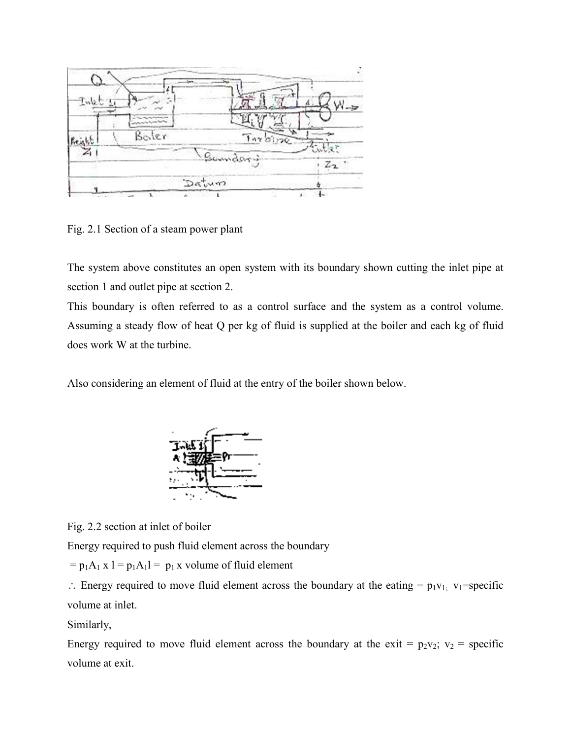

Fig. 2.1 Section of a steam power plant

The system above constitutes an open system with its boundary shown cutting the inlet pipe at section 1 and outlet pipe at section 2.

This boundary is often referred to as a control surface and the system as a control volume. Assuming a steady flow of heat Q per kg of fluid is supplied at the boiler and each kg of fluid does work W at the turbine.

Also considering an element of fluid at the entry of the boiler shown below.



Fig. 2.2 section at inlet of boiler

Energy required to push fluid element across the boundary

 $= p_1A_1 x 1 = p_1A_11 = p_1 x$  volume of fluid element

 $\therefore$  Energy required to move fluid element across the boundary at the eating =  $p_1v_1$ ; v<sub>1</sub>=specific volume at inlet.

Similarly,

Energy required to move fluid element across the boundary at the exit =  $p_2v_2$ ;  $v_2$  = specific volume at exit.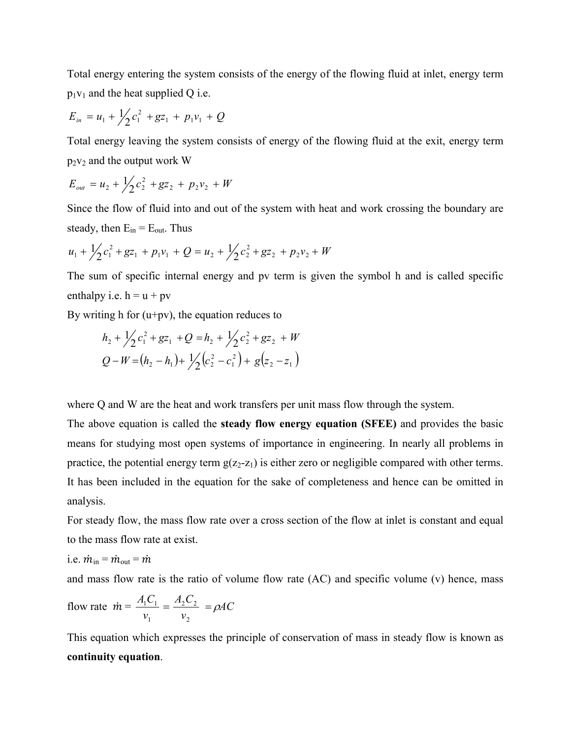Total energy entering the system consists of the energy of the flowing fluid at inlet, energy term  $p_1v_1$  and the heat supplied Q i.e.

$$
E_{in} = u_1 + \frac{1}{2}c_1^2 + gz_1 + p_1v_1 + Q
$$

Total energy leaving the system consists of energy of the flowing fluid at the exit, energy term  $p_2v_2$  and the output work W

$$
E_{out} = u_2 + \frac{1}{2}c_2^2 + gz_2 + p_2v_2 + W
$$

Since the flow of fluid into and out of the system with heat and work crossing the boundary are steady, then  $E_{in} = E_{out}$ . Thus

$$
u_1 + \frac{1}{2}c_1^2 + gz_1 + p_1v_1 + Q = u_2 + \frac{1}{2}c_2^2 + gz_2 + p_2v_2 + W
$$

The sum of specific internal energy and pv term is given the symbol h and is called specific enthalpy i.e.  $h = u + pv$ 

By writing h for  $(u+pv)$ , the equation reduces to

$$
h_2 + \frac{1}{2}c_1^2 + gz_1 + Q = h_2 + \frac{1}{2}c_2^2 + gz_2 + W
$$
  

$$
Q - W = (h_2 - h_1) + \frac{1}{2}(c_2^2 - c_1^2) + g(z_2 - z_1)
$$

where Q and W are the heat and work transfers per unit mass flow through the system.

The above equation is called the **steady flow energy equation (SFEE)** and provides the basic means for studying most open systems of importance in engineering. In nearly all problems in practice, the potential energy term  $g(z_2-z_1)$  is either zero or negligible compared with other terms. It has been included in the equation for the sake of completeness and hence can be omitted in analysis.

For steady flow, the mass flow rate over a cross section of the flow at inlet is constant and equal to the mass flow rate at exist.

i.e. 
$$
\dot{m}_{in} = \dot{m}_{out} = \dot{m}
$$

and mass flow rate is the ratio of volume flow rate (AC) and specific volume (v) hence, mass

flow rate 
$$
\dot{m} = \frac{A_1 C_1}{v_1} = \frac{A_2 C_2}{v_2} = \rho A C
$$

This equation which expresses the principle of conservation of mass in steady flow is known as **continuity equation**.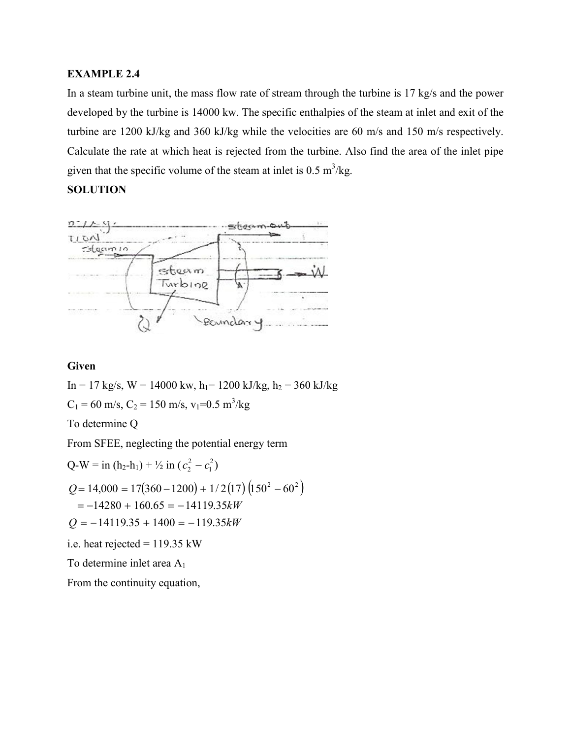# **EXAMPLE 2.4**

In a steam turbine unit, the mass flow rate of stream through the turbine is 17 kg/s and the power developed by the turbine is 14000 kw. The specific enthalpies of the steam at inlet and exit of the turbine are 1200 kJ/kg and 360 kJ/kg while the velocities are 60 m/s and 150 m/s respectively. Calculate the rate at which heat is rejected from the turbine. Also find the area of the inlet pipe given that the specific volume of the steam at inlet is  $0.5 \text{ m}^3/\text{kg}$ .

## **SOLUTION**



## **Given**

 $In = 17$  kg/s,  $W = 14000$  kw,  $h_1 = 1200$  kJ/kg,  $h_2 = 360$  kJ/kg  $C_1 = 60$  m/s,  $C_2 = 150$  m/s,  $v_1 = 0.5$  m<sup>3</sup>/kg To determine Q From SFEE, neglecting the potential energy term

$$
Q-W = in (h_2 - h_1) + \frac{1}{2} in (c_2^2 - c_1^2)
$$
  
\n
$$
Q = 14,000 = 17(360 - 1200) + \frac{1}{2}(17)(150^2 - 60^2)
$$
  
\n
$$
= -14280 + 160.65 = -14119.35kW
$$
  
\n
$$
Q = -14119.35 + 1400 = -119.35kW
$$
  
\ni.e. heat rejected = 119.35 kW  
\nTo determine inlet area A<sub>1</sub>  
\nFrom the continuity equation,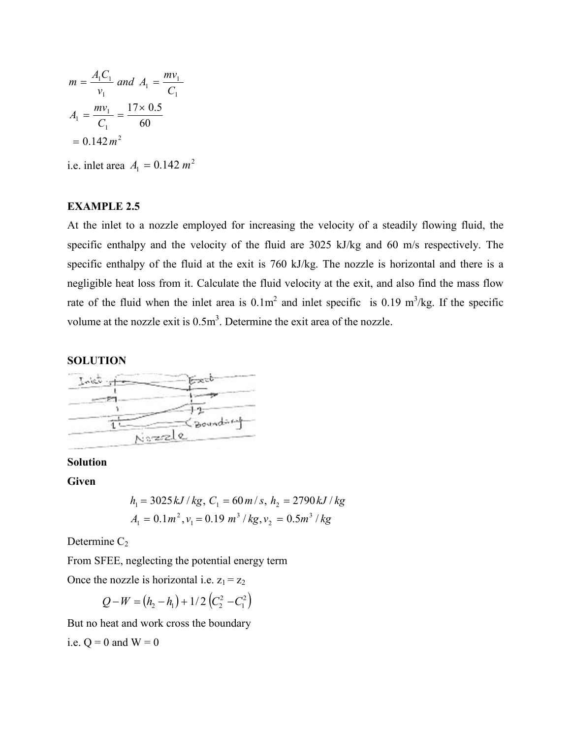$$
m = \frac{A_1 C_1}{v_1} \text{ and } A_1 = \frac{mv_1}{C_1}
$$

$$
A_1 = \frac{mv_1}{C_1} = \frac{17 \times 0.5}{60}
$$

$$
= 0.142 m^2
$$

i.e. inlet area  $A_1 = 0.142 m^2$ 

## **EXAMPLE 2.5**

At the inlet to a nozzle employed for increasing the velocity of a steadily flowing fluid, the specific enthalpy and the velocity of the fluid are 3025 kJ/kg and 60 m/s respectively. The specific enthalpy of the fluid at the exit is 760 kJ/kg. The nozzle is horizontal and there is a negligible heat loss from it. Calculate the fluid velocity at the exit, and also find the mass flow rate of the fluid when the inlet area is  $0.1m^2$  and inlet specific is  $0.19 \text{ m}^3/\text{kg}$ . If the specific volume at the nozzle exit is  $0.5m<sup>3</sup>$ . Determine the exit area of the nozzle.

## **SOLUTION**



## **Solution**

**Given** 

$$
h_1 = 3025 \, kJ / kg, \ C_1 = 60 \, m / s, \ h_2 = 2790 \, kJ / kg
$$
\n
$$
A_1 = 0.1 \, m^2, \ v_1 = 0.19 \, m^3 / kg, \ v_2 = 0.5 \, m^3 / kg
$$

Determine  $C_2$ 

From SFEE, neglecting the potential energy term

Once the nozzle is horizontal i.e.  $z_1 = z_2$ 

$$
Q-W = (h_2 - h_1) + 1/2 (C_2^2 - C_1^2)
$$

But no heat and work cross the boundary

i.e. 
$$
Q = 0
$$
 and  $W = 0$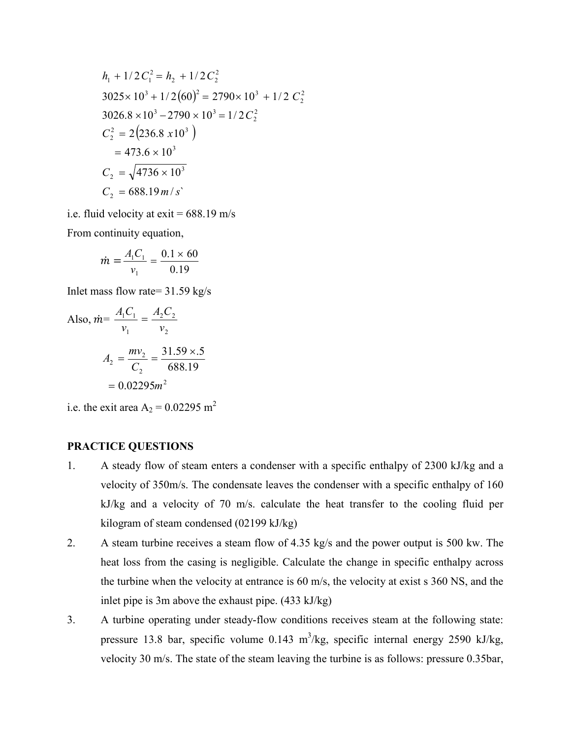$$
h_1 + 1/2 C_1^2 = h_2 + 1/2 C_2^2
$$
  
3025×10<sup>3</sup> + 1/2(60)<sup>2</sup> = 2790×10<sup>3</sup> + 1/2 C<sub>2</sub><sup>2</sup>  
3026.8×10<sup>3</sup> - 2790×10<sup>3</sup> = 1/2 C<sub>2</sub><sup>2</sup>  
C<sub>2</sub><sup>2</sup> = 2(236.8 x10<sup>3</sup>)  
= 473.6×10<sup>3</sup>  
C<sub>2</sub> =  $\sqrt{4736 \times 10^3}$   
C<sub>2</sub> = 688.19 m/s

i.e. fluid velocity at  $exit = 688.19$  m/s

From continuity equation,

$$
\dot{m} = \frac{A_1 C_1}{v_1} = \frac{0.1 \times 60}{0.19}
$$

Inlet mass flow rate= 31.59 kg/s

Also, 
$$
\vec{m} = \frac{A_1 C_1}{v_1} = \frac{A_2 C_2}{v_2}
$$
  

$$
A_2 = \frac{m v_2}{C_2} = \frac{31.59 \times 5}{688.19}
$$

$$
= 0.02295 m^2
$$

i.e. the exit area  $A_2 = 0.02295$  m<sup>2</sup>

## **PRACTICE QUESTIONS**

- 1. A steady flow of steam enters a condenser with a specific enthalpy of 2300 kJ/kg and a velocity of 350m/s. The condensate leaves the condenser with a specific enthalpy of 160 kJ/kg and a velocity of 70 m/s. calculate the heat transfer to the cooling fluid per kilogram of steam condensed (02199 kJ/kg)
- 2. A steam turbine receives a steam flow of 4.35 kg/s and the power output is 500 kw. The heat loss from the casing is negligible. Calculate the change in specific enthalpy across the turbine when the velocity at entrance is 60 m/s, the velocity at exist s 360 NS, and the inlet pipe is 3m above the exhaust pipe. (433 kJ/kg)
- 3. A turbine operating under steady-flow conditions receives steam at the following state: pressure 13.8 bar, specific volume  $0.143 \text{ m}^3/\text{kg}$ , specific internal energy 2590 kJ/kg, velocity 30 m/s. The state of the steam leaving the turbine is as follows: pressure 0.35bar,